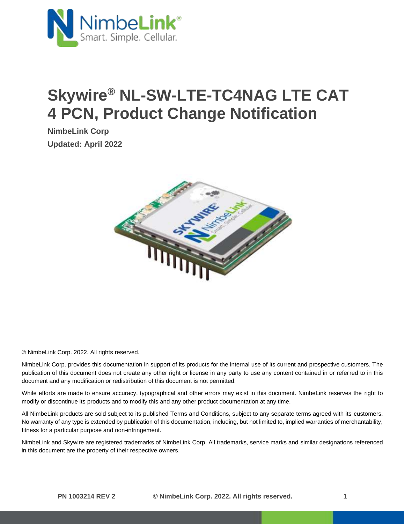

## **Skywire® NL-SW-LTE-TC4NAG LTE CAT 4 PCN, Product Change Notification**

**NimbeLink Corp Updated: April 2022**



© NimbeLink Corp. 2022. All rights reserved.

NimbeLink Corp. provides this documentation in support of its products for the internal use of its current and prospective customers. The publication of this document does not create any other right or license in any party to use any content contained in or referred to in this document and any modification or redistribution of this document is not permitted.

While efforts are made to ensure accuracy, typographical and other errors may exist in this document. NimbeLink reserves the right to modify or discontinue its products and to modify this and any other product documentation at any time.

All NimbeLink products are sold subject to its published Terms and Conditions, subject to any separate terms agreed with its customers. No warranty of any type is extended by publication of this documentation, including, but not limited to, implied warranties of merchantability, fitness for a particular purpose and non-infringement.

NimbeLink and Skywire are registered trademarks of NimbeLink Corp. All trademarks, service marks and similar designations referenced in this document are the property of their respective owners.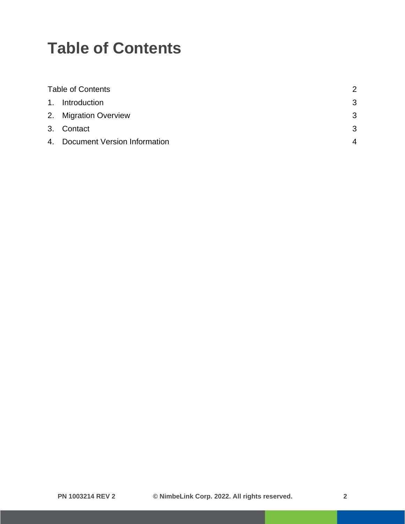## <span id="page-1-0"></span>**Table of Contents**

| <b>Table of Contents</b> |                                 |   |
|--------------------------|---------------------------------|---|
|                          | 1. Introduction                 | 3 |
|                          | 2. Migration Overview           | 3 |
|                          | 3. Contact                      | 3 |
|                          | 4. Document Version Information | 4 |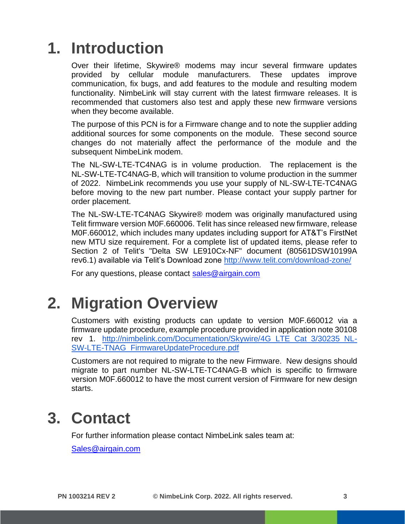## <span id="page-2-0"></span>**1. Introduction**

Over their lifetime, Skywire® modems may incur several firmware updates provided by cellular module manufacturers. These updates improve communication, fix bugs, and add features to the module and resulting modem functionality. NimbeLink will stay current with the latest firmware releases. It is recommended that customers also test and apply these new firmware versions when they become available.

The purpose of this PCN is for a Firmware change and to note the supplier adding additional sources for some components on the module. These second source changes do not materially affect the performance of the module and the subsequent NimbeLink modem.

The NL-SW-LTE-TC4NAG is in volume production. The replacement is the NL-SW-LTE-TC4NAG-B, which will transition to volume production in the summer of 2022. NimbeLink recommends you use your supply of NL-SW-LTE-TC4NAG before moving to the new part number. Please contact your supply partner for order placement.

The NL-SW-LTE-TC4NAG Skywire® modem was originally manufactured using Telit firmware version M0F.660006. Telit has since released new firmware, release M0F.660012, which includes many updates including support for AT&T's FirstNet new MTU size requirement. For a complete list of updated items, please refer to Section 2 of Telit's "Delta SW LE910Cx-NF" document (80561DSW10199A rev6.1) available via Telit's Download zone<http://www.telit.com/download-zone/>

For any questions, please contact [sales@airgain.com](mailto:sales@airgain.com) 

#### <span id="page-2-1"></span>**2. Migration Overview**

Customers with existing products can update to version M0F.660012 via a firmware update procedure, example procedure provided in application note 30108 rev 1. [http://nimbelink.com/Documentation/Skywire/4G\\_LTE\\_Cat\\_3/30235\\_NL-](http://nimbelink.com/Documentation/Skywire/4G_LTE_Cat_3/30235_NL-SW-LTE-TNAG_FirmwareUpdateProcedure.pdf)[SW-LTE-TNAG\\_FirmwareUpdateProcedure.pdf](http://nimbelink.com/Documentation/Skywire/4G_LTE_Cat_3/30235_NL-SW-LTE-TNAG_FirmwareUpdateProcedure.pdf)

Customers are not required to migrate to the new Firmware. New designs should migrate to part number NL-SW-LTE-TC4NAG-B which is specific to firmware version M0F.660012 to have the most current version of Firmware for new design starts.

#### <span id="page-2-2"></span>**3. Contact**

For further information please contact NimbeLink sales team at:

[Sales@airgain.com](mailto:Sales@airgain.com)